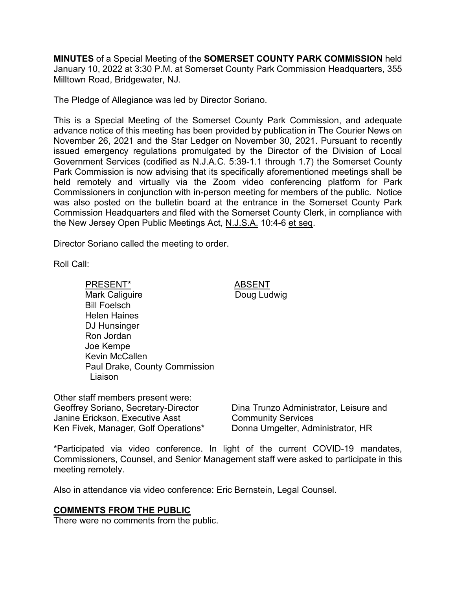**MINUTES** of a Special Meeting of the **SOMERSET COUNTY PARK COMMISSION** held January 10, 2022 at 3:30 P.M. at Somerset County Park Commission Headquarters, 355 Milltown Road, Bridgewater, NJ.

The Pledge of Allegiance was led by Director Soriano.

This is a Special Meeting of the Somerset County Park Commission, and adequate advance notice of this meeting has been provided by publication in The Courier News on November 26, 2021 and the Star Ledger on November 30, 2021. Pursuant to recently issued emergency regulations promulgated by the Director of the Division of Local Government Services (codified as N.J.A.C. 5:39-1.1 through 1.7) the Somerset County Park Commission is now advising that its specifically aforementioned meetings shall be held remotely and virtually via the Zoom video conferencing platform for Park Commissioners in conjunction with in-person meeting for members of the public. Notice was also posted on the bulletin board at the entrance in the Somerset County Park Commission Headquarters and filed with the Somerset County Clerk, in compliance with the New Jersey Open Public Meetings Act, N.J.S.A. 10:4-6 et seq.

Doug Ludwig

Director Soriano called the meeting to order.

Roll Call:

PRESENT\* ABSENT Mark Caliguire Bill Foelsch Helen Haines DJ Hunsinger Ron Jordan Joe Kempe Kevin McCallen Paul Drake, County Commission Liaison

Other staff members present were: Geoffrey Soriano, Secretary-Director Janine Erickson, Executive Asst Ken Fivek, Manager, Golf Operations\* Donna Umgelter, Administrator, HR

Dina Trunzo Administrator, Leisure and Community Services

\*Participated via video conference. In light of the current COVID-19 mandates, Commissioners, Counsel, and Senior Management staff were asked to participate in this meeting remotely.

Also in attendance via video conference: Eric Bernstein, Legal Counsel.

### **COMMENTS FROM THE PUBLIC**

There were no comments from the public.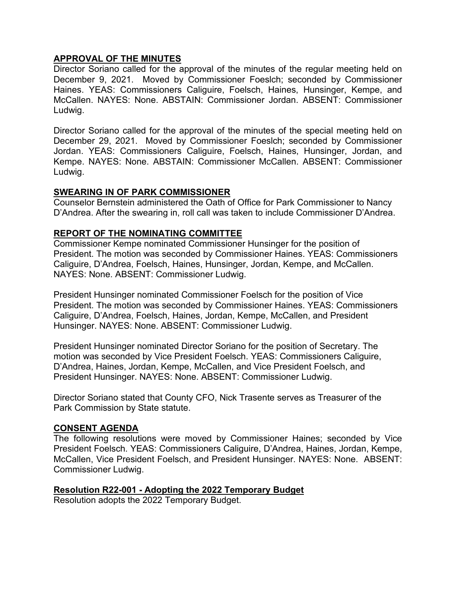## **APPROVAL OF THE MINUTES**

Director Soriano called for the approval of the minutes of the regular meeting held on December 9, 2021. Moved by Commissioner Foeslch; seconded by Commissioner Haines. YEAS: Commissioners Caliguire, Foelsch, Haines, Hunsinger, Kempe, and McCallen. NAYES: None. ABSTAIN: Commissioner Jordan. ABSENT: Commissioner Ludwig.

Director Soriano called for the approval of the minutes of the special meeting held on December 29, 2021. Moved by Commissioner Foeslch; seconded by Commissioner Jordan. YEAS: Commissioners Caliguire, Foelsch, Haines, Hunsinger, Jordan, and Kempe. NAYES: None. ABSTAIN: Commissioner McCallen. ABSENT: Commissioner Ludwig.

### **SWEARING IN OF PARK COMMISSIONER**

Counselor Bernstein administered the Oath of Office for Park Commissioner to Nancy D'Andrea. After the swearing in, roll call was taken to include Commissioner D'Andrea.

### **REPORT OF THE NOMINATING COMMITTEE**

Commissioner Kempe nominated Commissioner Hunsinger for the position of President. The motion was seconded by Commissioner Haines. YEAS: Commissioners Caliguire, D'Andrea, Foelsch, Haines, Hunsinger, Jordan, Kempe, and McCallen. NAYES: None. ABSENT: Commissioner Ludwig.

President Hunsinger nominated Commissioner Foelsch for the position of Vice President. The motion was seconded by Commissioner Haines. YEAS: Commissioners Caliguire, D'Andrea, Foelsch, Haines, Jordan, Kempe, McCallen, and President Hunsinger. NAYES: None. ABSENT: Commissioner Ludwig.

President Hunsinger nominated Director Soriano for the position of Secretary. The motion was seconded by Vice President Foelsch. YEAS: Commissioners Caliguire, D'Andrea, Haines, Jordan, Kempe, McCallen, and Vice President Foelsch, and President Hunsinger. NAYES: None. ABSENT: Commissioner Ludwig.

Director Soriano stated that County CFO, Nick Trasente serves as Treasurer of the Park Commission by State statute.

### **CONSENT AGENDA**

The following resolutions were moved by Commissioner Haines; seconded by Vice President Foelsch. YEAS: Commissioners Caliguire, D'Andrea, Haines, Jordan, Kempe, McCallen, Vice President Foelsch, and President Hunsinger. NAYES: None. ABSENT: Commissioner Ludwig.

### **Resolution R22-001 - Adopting the 2022 Temporary Budget**

Resolution adopts the 2022 Temporary Budget.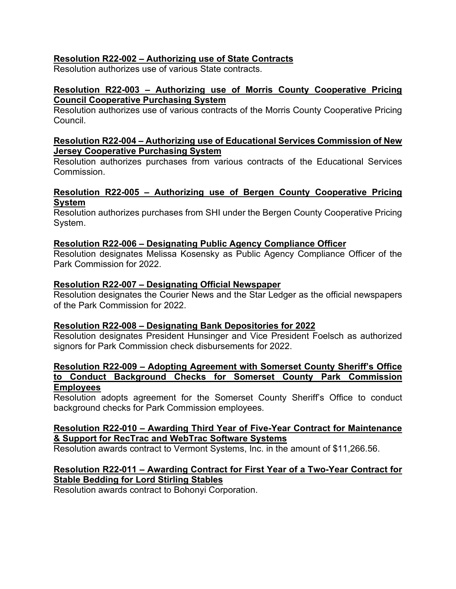# **Resolution R22-002 – Authorizing use of State Contracts**

Resolution authorizes use of various State contracts.

### **Resolution R22-003 – Authorizing use of Morris County Cooperative Pricing Council Cooperative Purchasing System**

Resolution authorizes use of various contracts of the Morris County Cooperative Pricing **Council** 

### **Resolution R22-004 – Authorizing use of Educational Services Commission of New Jersey Cooperative Purchasing System**

Resolution authorizes purchases from various contracts of the Educational Services **Commission** 

## **Resolution R22-005 – Authorizing use of Bergen County Cooperative Pricing System**

Resolution authorizes purchases from SHI under the Bergen County Cooperative Pricing System.

### **Resolution R22-006 – Designating Public Agency Compliance Officer**

Resolution designates Melissa Kosensky as Public Agency Compliance Officer of the Park Commission for 2022.

#### **Resolution R22-007 – Designating Official Newspaper**

Resolution designates the Courier News and the Star Ledger as the official newspapers of the Park Commission for 2022.

### **Resolution R22-008 – Designating Bank Depositories for 2022**

Resolution designates President Hunsinger and Vice President Foelsch as authorized signors for Park Commission check disbursements for 2022.

#### **Resolution R22-009 – Adopting Agreement with Somerset County Sheriff's Office to Conduct Background Checks for Somerset County Park Commission Employees**

Resolution adopts agreement for the Somerset County Sheriff's Office to conduct background checks for Park Commission employees.

### **Resolution R22-010 – Awarding Third Year of Five-Year Contract for Maintenance & Support for RecTrac and WebTrac Software Systems**

Resolution awards contract to Vermont Systems, Inc. in the amount of \$11,266.56.

## **Resolution R22-011 – Awarding Contract for First Year of a Two-Year Contract for Stable Bedding for Lord Stirling Stables**

Resolution awards contract to Bohonyi Corporation.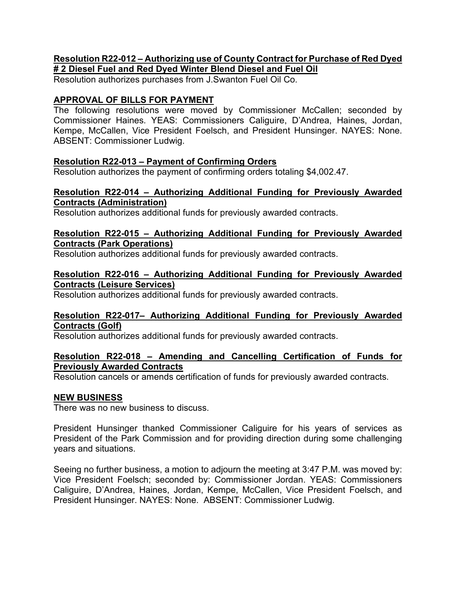### **Resolution R22-012 – Authorizing use of County Contract for Purchase of Red Dyed # 2 Diesel Fuel and Red Dyed Winter Blend Diesel and Fuel Oil**

Resolution authorizes purchases from J.Swanton Fuel Oil Co.

# **APPROVAL OF BILLS FOR PAYMENT**

The following resolutions were moved by Commissioner McCallen; seconded by Commissioner Haines. YEAS: Commissioners Caliguire, D'Andrea, Haines, Jordan, Kempe, McCallen, Vice President Foelsch, and President Hunsinger. NAYES: None. ABSENT: Commissioner Ludwig.

## **Resolution R22-013 – Payment of Confirming Orders**

Resolution authorizes the payment of confirming orders totaling \$4,002.47.

## **Resolution R22-014 – Authorizing Additional Funding for Previously Awarded Contracts (Administration)**

Resolution authorizes additional funds for previously awarded contracts.

### **Resolution R22-015 – Authorizing Additional Funding for Previously Awarded Contracts (Park Operations)**

Resolution authorizes additional funds for previously awarded contracts.

## **Resolution R22-016 – Authorizing Additional Funding for Previously Awarded Contracts (Leisure Services)**

Resolution authorizes additional funds for previously awarded contracts.

### **Resolution R22-017– Authorizing Additional Funding for Previously Awarded Contracts (Golf)**

Resolution authorizes additional funds for previously awarded contracts.

## **Resolution R22-018 – Amending and Cancelling Certification of Funds for Previously Awarded Contracts**

Resolution cancels or amends certification of funds for previously awarded contracts.

### **NEW BUSINESS**

There was no new business to discuss.

President Hunsinger thanked Commissioner Caliguire for his years of services as President of the Park Commission and for providing direction during some challenging years and situations.

Seeing no further business, a motion to adjourn the meeting at 3:47 P.M. was moved by: Vice President Foelsch; seconded by: Commissioner Jordan. YEAS: Commissioners Caliguire, D'Andrea, Haines, Jordan, Kempe, McCallen, Vice President Foelsch, and President Hunsinger. NAYES: None. ABSENT: Commissioner Ludwig.